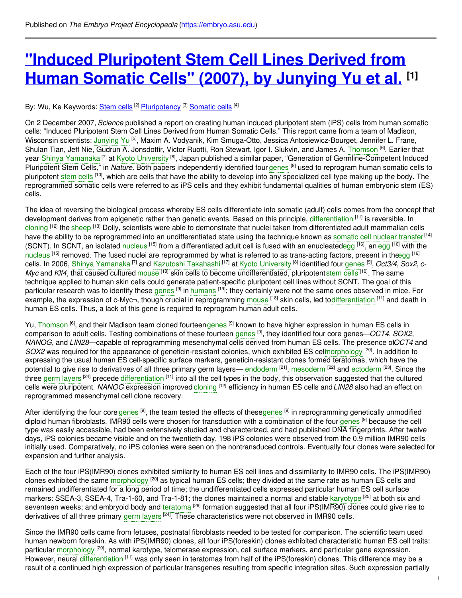# **"Induced [Pluripotent](https://embryo.asu.edu/pages/induced-pluripotent-stem-cell-lines-derived-human-somatic-cells-2007-junying-yu-et-al) Stem Cell Lines Derived from Human Somatic Cells" (2007), by Junying Yu et al. [1]**

## By: Wu, Ke Keywords: [Stem](https://embryo.asu.edu/keywords/stem-cells) cells [2] [Pluripotency](https://embryo.asu.edu/keywords/pluripotency) [3] [Somatic](https://embryo.asu.edu/keywords/somatic-cells) cells [4]

On 2 December 2007, *Science* published a report on creating human induced pluripotent stem (iPS) cells from human somatic cells: "Induced Pluripotent Stem Cell Lines Derived from Human Somatic Cells." This report came from a team of Madison, Wisconsin scientists: [Junying](https://embryo.asu.edu/search?text=Junying%20Yu) Yu <sup>[5]</sup>, Maxim A. Vodyanik, Kim Smuga-Otto, Jessica Antosiewicz-Bourget, Jennifer L. Frane, Shulan Tian, Jeff Nie, Gudrun A. Jonsdottir, Victor Ruotti, Ron Stewart, Igor I. Slukvin, and James A. [Thomson](https://embryo.asu.edu/search?text=Thomson) <sup>[6]</sup>. Earlier that year Shinya [Yamanaka](https://embryo.asu.edu/search?text=Shinya%20Yamanaka) <sup>[7]</sup> at Kyoto [University](https://embryo.asu.edu/search?text=Kyoto%20University) <sup>[8]</sup>, Japan published a similar paper, "Generation of Germline-Competent Induced Pluripotent Stem Cells," in *Nature*. Both papers independently identified four [genes](https://embryo.asu.edu/search?text=genes) <sup>[9]</sup> used to reprogram human somatic cells to pluripotent [stem](https://embryo.asu.edu/search?text=stem%20cells) cells <sup>[10]</sup>, which are cells that have the ability to develop into any specialized cell type making up the body. The reprogrammed somatic cells were referred to as iPS cells and they exhibit fundamental qualities of human embryonic stem (ES) cells.

The idea of reversing the biological process whereby ES cells differentiate into somatic (adult) cells comes from the concept that development derives from epigenetic rather than genetic events. Based on this principle, [differentiation](https://embryo.asu.edu/search?text=differentiation) <sup>[11]</sup> is reversible. In [cloning](https://embryo.asu.edu/search?text=cloning) <sup>[12]</sup> the [sheep](https://embryo.asu.edu/search?text=sheep) <sup>[13]</sup> Dolly, scientists were able to demonstrate that nuclei taken from differentiated adult mammalian cells have the ability to be reprogrammed into an undifferentiated state using the technique known as [somatic](https://embryo.asu.edu/search?text=somatic%20cell%20nuclear%20transfer) cell nuclear transfer<sup>[14]</sup> (SCNT). In SCNT, an isolated [nucleus](https://embryo.asu.edu/search?text=nucleus) <sup>[15]</sup> from a differentiated adult cell is fused with an enucleate[degg](https://embryo.asu.edu/search?text=egg) <sup>[16]</sup>, an [egg](https://embryo.asu.edu/search?text=egg) <sup>[16]</sup> with the [nucleus](https://embryo.asu.edu/search?text=nucleus) <sup>[15]</sup> removed. The fused nuclei are reprogrammed by what is referred to as trans-acting factors, present in th<del>œ</del>gg <sup>[16]</sup> cells. In 2006, Shinya [Yamanaka](https://embryo.asu.edu/search?text=Shinya%20Yamanaka) <sup>[7]</sup> and Kazutoshi [Takahashi](https://embryo.asu.edu/search?text=Kazutoshi%20Takahashi) <sup>[17]</sup> at Kyoto [University](https://embryo.asu.edu/search?text=Kyoto%20University) <sup>[8]</sup> identified four [genes](https://embryo.asu.edu/search?text=genes) <sup>[9]</sup>, *Oct3/4, Sox2, c-Myc* and *Klf4*, that caused cultured [mouse](https://embryo.asu.edu/search?text=mouse) <sup>[18]</sup> skin cells to become undifferentiated, pluripotent[stem](https://embryo.asu.edu/search?text=stem%20cells) cells <sup>[10]</sup>. The same technique applied to human skin cells could generate patient-specific pluripotent cell lines without SCNT. The goal of this particular research was to identify these [genes](https://embryo.asu.edu/search?text=genes) <sup>[9]</sup> in [humans](https://embryo.asu.edu/search?text=humans) <sup>[19]</sup>; they certainly were not the same ones observed in mice. For example, the expression of c-Myc¬, though crucial in reprogramming [mouse](https://embryo.asu.edu/search?text=mouse) <sup>[18]</sup> skin cells, led to[differentiation](https://embryo.asu.edu/search?text=differentiation) <sup>[11]</sup> and death in human ES cells. Thus, a lack of this gene is required to reprogram human adult cells.

Yu, [Thomson](https://embryo.asu.edu/search?text=Thomson) <sup>[6]</sup>, and their Madison team cloned fourteen[genes](https://embryo.asu.edu/search?text=genes) <sup>[9]</sup> known to have higher expression in human ES cells in comparison to adult cells. Testing combinations of these fourteen [genes](https://embryo.asu.edu/search?text=genes) [9] , they identified four core genes—*OCT4*, *SOX2*, *NANOG*, and *LIN28*—capable of reprogramming mesenchymal cells derived from human ES cells. The presence of*OCT4* and SOX2 was required for the appearance of geneticin-resistant colonies, which exhibited ES ce[llmorphology](https://embryo.asu.edu/search?text=morphology) <sup>[20]</sup>. In addition to expressing the usual human ES cell-specific surface markers, geneticin-resistant clones formed teratomas, which have the potential to give rise to derivatives of all three primary germ layers— [endoderm](https://embryo.asu.edu/search?text=endoderm) <sup>[21]</sup>, [mesoderm](https://embryo.asu.edu/search?text=mesoderm) <sup>[22]</sup> and [ectoderm](https://embryo.asu.edu/search?text=ectoderm) <sup>[23]</sup>. Since the three germ [layers](https://embryo.asu.edu/search?text=germ%20layers) <sup>[24]</sup> precede [differentiation](https://embryo.asu.edu/search?text=differentiation) <sup>[11]</sup> into all the cell types in the body, this observation suggested that the cultured cells were pluripotent. *NANOG* expression improved [cloning](https://embryo.asu.edu/search?text=cloning) [12] efficiency in human ES cells and*LIN28* also had an effect on reprogrammed mesenchymal cell clone recovery.

After identifying the four core [genes](https://embryo.asu.edu/search?text=genes) <sup>[9]</sup>, the team tested the effects of thesegenes <sup>[9]</sup> in reprogramming genetically unmodified diploid human fibroblasts. IMR90 cells were chosen for transduction with a combination of the four [genes](https://embryo.asu.edu/search?text=genes) <sup>[9]</sup> because the cell type was easily accessible, had been extensively studied and characterized, and had published DNA fingerprints. After twelve days, iPS colonies became visible and on the twentieth day, 198 iPS colonies were observed from the 0.9 million IMR90 cells initially used. Comparatively, no iPS colonies were seen on the nontransduced controls. Eventually four clones were selected for expansion and further analysis.

Each of the four iPS(IMR90) clones exhibited similarity to human ES cell lines and dissimilarity to IMR90 cells. The iPS(IMR90) clones exhibited the same [morphology](https://embryo.asu.edu/search?text=morphology) <sup>[20]</sup> as typical human ES cells; they divided at the same rate as human ES cells and remained undifferentiated for a long period of time; the undifferentiated cells expressed particular human ES cell surface markers: SSEA-3, SSEA-4, Tra-1-60, and Tra-1-81; the clones maintained a normal and stable [karyotype](https://embryo.asu.edu/search?text=karyotype) <sup>[25]</sup> at both six and seventeen weeks; and embryoid body and [teratoma](https://embryo.asu.edu/search?text=teratoma) <sup>[26]</sup> formation suggested that all four iPS(IMR90) clones could give rise to derivatives of all three primary germ [layers](https://embryo.asu.edu/search?text=germ%20layers) <sup>[24]</sup>. These characteristics were not observed in IMR90 cells.

Since the IMR90 cells came from fetuses, postnatal fibroblasts needed to be tested for comparison. The scientific team used human newborn foreskin. As with iPS(IMR90) clones, all four iPS(foreskin) clones exhibited characteristic human ES cell traits: particular [morphology](https://embryo.asu.edu/search?text=morphology) <sup>[20]</sup>, normal karotype, telomerase expression, cell surface markers, and particular gene expression. However, neural [differentiation](https://embryo.asu.edu/search?text=differentiation) [11] was only seen in teratomas from half of the iPS(foreskin) clones. This difference may be a result of a continued high expression of particular transgenes resulting from specific integration sites. Such expression partially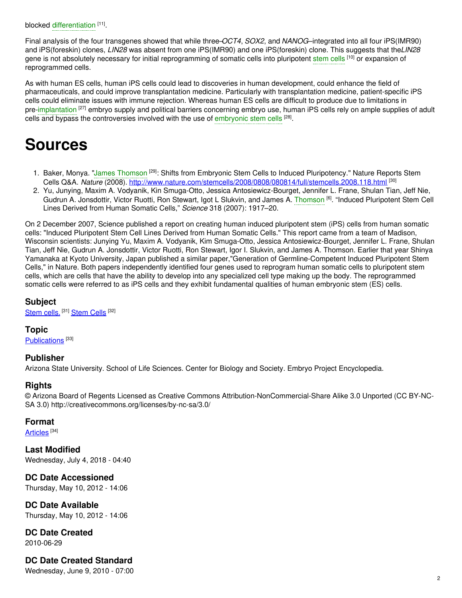blocked [differentiation](https://embryo.asu.edu/search?text=differentiation) [11].

Final analysis of the four transgenes showed that while three–*OCT4*, *SOX2*, and *NANOG*–integrated into all four iPS(IMR90) and iPS(foreskin) clones, *LIN28* was absent from one iPS(IMR90) and one iPS(foreskin) clone. This suggests that the*LIN28* gene is not absolutely necessary for initial reprogramming of somatic cells into pluripotent [stem](https://embryo.asu.edu/search?text=stem%20cells) cells <sup>[10]</sup> or expansion of reprogrammed cells.

As with human ES cells, human iPS cells could lead to discoveries in human development, could enhance the field of pharmaceuticals, and could improve transplantation medicine. Particularly with transplantation medicine, patient-specific iPS cells could eliminate issues with immune rejection. Whereas human ES cells are difficult to produce due to limitations in pre[-implantation](https://embryo.asu.edu/search?text=implantation) <sup>[27]</sup> embryo supply and political barriers concerning embryo use, human iPS cells rely on ample supplies of adult cells and bypass the controversies involved with the use of [embryonic](https://embryo.asu.edu/search?text=embryonic%20stem%20cells) stem cells <sup>[28]</sup>.

# **Sources**

- 1. Baker, Monya. "James [Thomson](https://embryo.asu.edu/search?text=James%20Thomson) <sup>[29]</sup>: Shifts from Embryonic Stem Cells to Induced Pluripotency." Nature Reports Stem Cells Q&A. Nature (2008). <http://www.nature.com/stemcells/2008/0808/080814/full/stemcells.2008.118.html> <sup>[30]</sup>
- 2. Yu, Junying, Maxim A. Vodyanik, Kin Smuga-Otto, Jessica Antosiewicz-Bourget, Jennifer L. Frane, Shulan Tian, Jeff Nie, Gudrun A. Jonsdottir, Victor Ruotti, Ron Stewart, Igot L Slukvin, and James A. [Thomson](https://embryo.asu.edu/search?text=Thomson) [6] . "Induced Pluripotent Stem Cell Lines Derived from Human Somatic Cells," *Science* 318 (2007): 1917–20.

On 2 December 2007, Science published a report on creating human induced pluripotent stem (iPS) cells from human somatic cells: "Induced Pluripotent Stem Cell Lines Derived from Human Somatic Cells." This report came from a team of Madison, Wisconsin scientists: Junying Yu, Maxim A. Vodyanik, Kim Smuga-Otto, Jessica Antosiewicz-Bourget, Jennifer L. Frane, Shulan Tian, Jeff Nie, Gudrun A. Jonsdottir, Victor Ruotti, Ron Stewart, Igor I. Slukvin, and James A. Thomson. Earlier that year Shinya Yamanaka at Kyoto University, Japan published a similar paper,"Generation of Germline-Competent Induced Pluripotent Stem Cells," in Nature. Both papers independently identified four genes used to reprogram human somatic cells to pluripotent stem cells, which are cells that have the ability to develop into any specialized cell type making up the body. The reprogrammed somatic cells were referred to as iPS cells and they exhibit fundamental qualities of human embryonic stem (ES) cells.

### **Subject**

[Stem](https://embryo.asu.edu/medical-subject-headings/stem-cells) cells.<sup>[31]</sup> Stem Cells<sup>[32]</sup>

#### **Topic**

[Publications](https://embryo.asu.edu/topics/publications)<sup>[33]</sup>

### **Publisher**

Arizona State University. School of Life Sciences. Center for Biology and Society. Embryo Project Encyclopedia.

### **Rights**

© Arizona Board of Regents Licensed as Creative Commons Attribution-NonCommercial-Share Alike 3.0 Unported (CC BY-NC-SA 3.0) http://creativecommons.org/licenses/by-nc-sa/3.0/

### **Format**

[Articles](https://embryo.asu.edu/formats/articles) <sup>[34]</sup>

**Last Modified** Wednesday, July 4, 2018 - 04:40

**DC Date Accessioned** Thursday, May 10, 2012 - 14:06

**DC Date Available** Thursday, May 10, 2012 - 14:06

**DC Date Created** 2010-06-29

# **DC Date Created Standard**

Wednesday, June 9, 2010 - 07:00